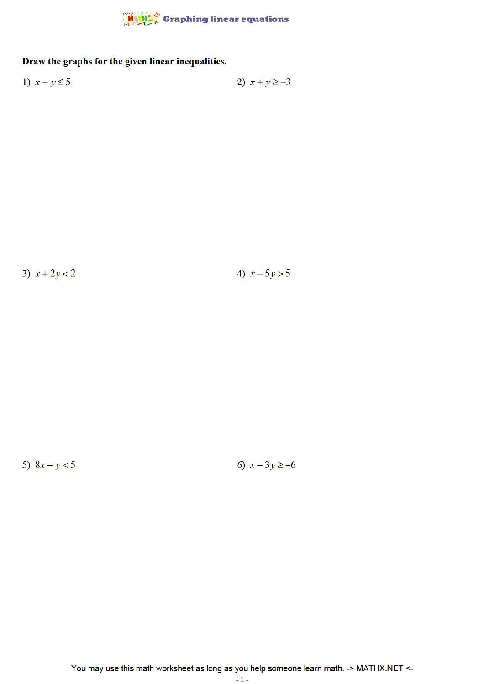

## Draw the graphs for the given linear inequalities.

$$
1) \quad x - y \le 5
$$
\n
$$
2) \quad x + y \ge -3
$$

3)  $x + 2y < 2$ 

4)  $x - 5y > 5$ 

5)  $8x - y < 5$ 

6)  $x - 3y \ge -6$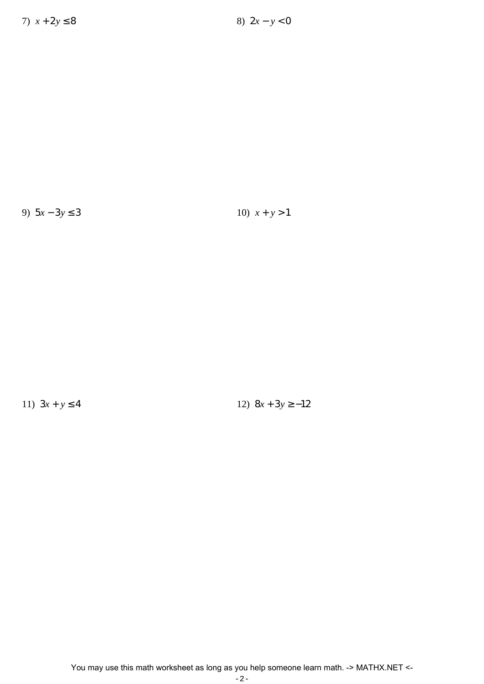9) 5*x* − 3*y* ≤ 3 10) *x* + *y* > 1

11)  $3x + y \le 4$  12)  $8x + 3y \ge -12$ 

You may use this math worksheet as long as you help someone learn math. -> MATHX.NET <-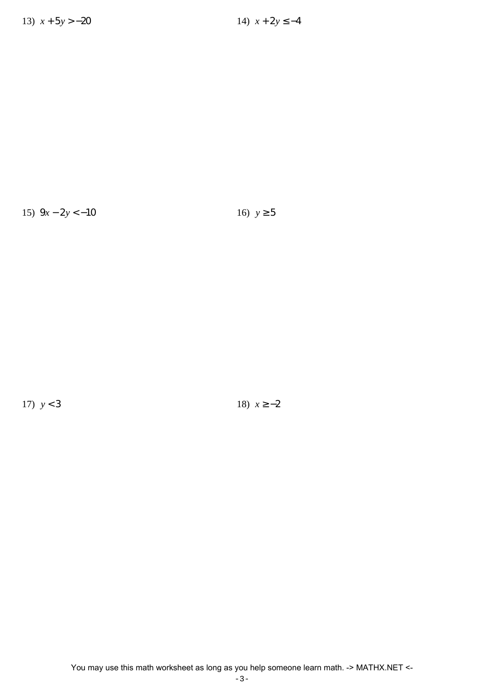15)  $9x - 2y < -10$  16)  $y \ge 5$ 

17)  $y < 3$  18)  $x \ge -2$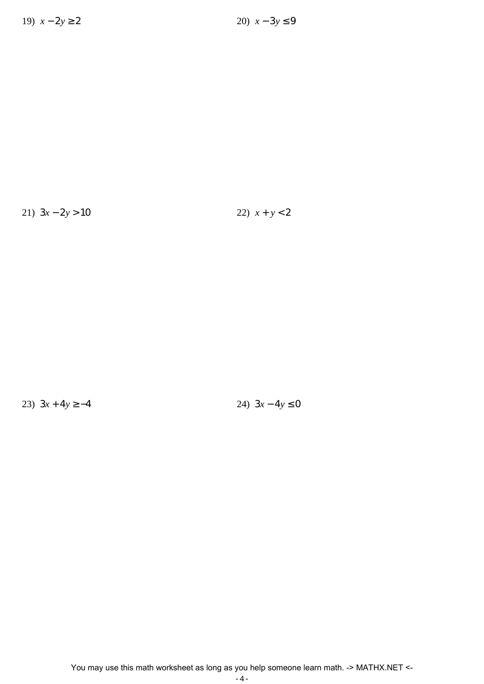21)  $3x - 2y > 10$  22)  $x + y < 2$ 

23)  $3x + 4y \ge -4$  24)  $3x - 4y \le 0$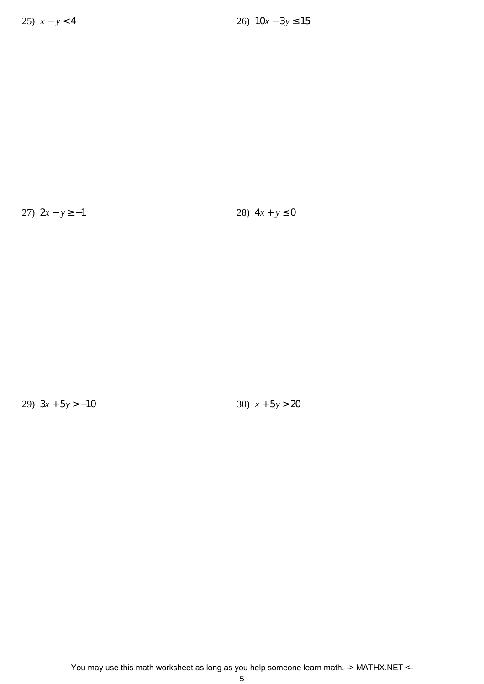27)  $2x - y \ge -1$  28)  $4x + y \le 0$ 

29) 3*x* + 5*y* > −10 30) *x* + 5*y* > 20

You may use this math worksheet as long as you help someone learn math. -> MATHX.NET <-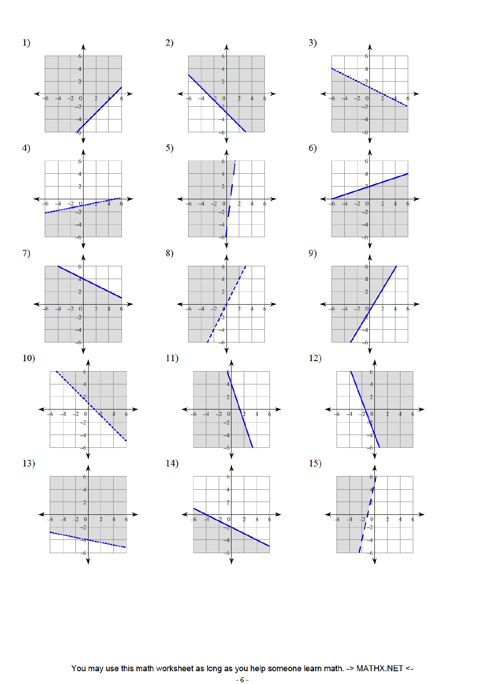











 $\overline{-4}$ 

 $11)$ 

 $14)$ 

 $\overline{2}$  $\overline{a}$ 

b

 $\overline{2}$ 

 $\overline{4}$ 

 $\overline{\mathbf{0}}$ 

2

 $\theta$ 

Á









Ą

You may use this math worksheet as long as you help someone learn math. -> MATHX.NET <-

 $-6-$